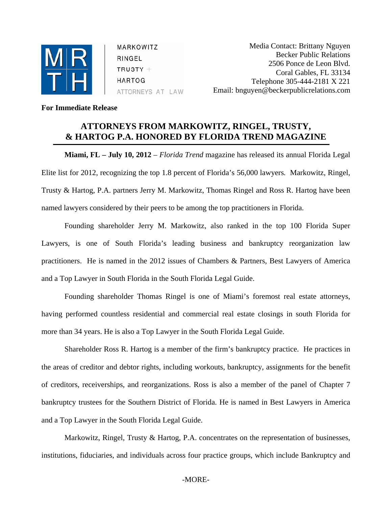

MARKOWITZ RINGEL  $TRUSTY +$ **HARTOG** ATTORNEYS AT LAW

Media Contact: Brittany Nguyen Becker Public Relations 2506 Ponce de Leon Blvd. Coral Gables, FL 33134 Telephone 305-444-2181 X 221 Email: bnguyen@beckerpublicrelations.com

## **For Immediate Release**

## **ATTORNEYS FROM MARKOWITZ, RINGEL, TRUSTY, & HARTOG P.A. HONORED BY FLORIDA TREND MAGAZINE**

**Miami, FL – July 10, 2012** – *Florida Trend* magazine has released its annual Florida Legal Elite list for 2012, recognizing the top 1.8 percent of Florida's 56,000 lawyers*.* Markowitz, Ringel, Trusty & Hartog, P.A. partners Jerry M. Markowitz, Thomas Ringel and Ross R. Hartog have been named lawyers considered by their peers to be among the top practitioners in Florida.

Founding shareholder Jerry M. Markowitz, also ranked in the top 100 Florida Super Lawyers, is one of South Florida's leading business and bankruptcy reorganization law practitioners. He is named in the 2012 issues of Chambers & Partners, Best Lawyers of America and a Top Lawyer in South Florida in the South Florida Legal Guide.

Founding shareholder Thomas Ringel is one of Miami's foremost real estate attorneys, having performed countless residential and commercial real estate closings in south Florida for more than 34 years. He is also a Top Lawyer in the South Florida Legal Guide.

Shareholder Ross R. Hartog is a member of the firm's bankruptcy practice. He practices in the areas of creditor and debtor rights, including workouts, bankruptcy, assignments for the benefit of creditors, receiverships, and reorganizations. Ross is also a member of the panel of Chapter 7 bankruptcy trustees for the Southern District of Florida. He is named in Best Lawyers in America and a Top Lawyer in the South Florida Legal Guide.

Markowitz, Ringel, Trusty & Hartog, P.A. concentrates on the representation of businesses, institutions, fiduciaries, and individuals across four practice groups, which include Bankruptcy and